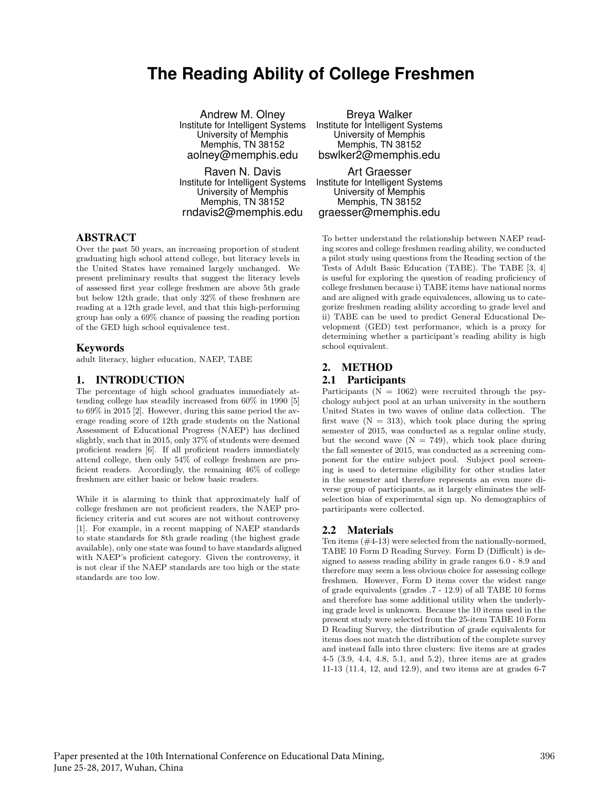# **The Reading Ability of College Freshmen**

Andrew M. Olney Institute for Intelligent Systems University of Memphis Memphis, TN 38152 aolney@memphis.edu

Raven N. Davis Institute for Intelligent Systems University of Memphis Memphis, TN 38152 rndavis2@memphis.edu

## ABSTRACT

Over the past 50 years, an increasing proportion of student graduating high school attend college, but literacy levels in the United States have remained largely unchanged. We present preliminary results that suggest the literacy levels of assessed first year college freshmen are above 5th grade but below 12th grade, that only 32% of these freshmen are reading at a 12th grade level, and that this high-performing group has only a 69% chance of passing the reading portion of the GED high school equivalence test.

#### Keywords

adult literacy, higher education, NAEP, TABE

#### 1. INTRODUCTION

The percentage of high school graduates immediately attending college has steadily increased from 60% in 1990 [5] to 69% in 2015 [2]. However, during this same period the average reading score of 12th grade students on the National Assessment of Educational Progress (NAEP) has declined slightly, such that in 2015, only 37% of students were deemed proficient readers [6]. If all proficient readers immediately attend college, then only 54% of college freshmen are proficient readers. Accordingly, the remaining 46% of college freshmen are either basic or below basic readers.

While it is alarming to think that approximately half of college freshmen are not proficient readers, the NAEP proficiency criteria and cut scores are not without controversy [1]. For example, in a recent mapping of NAEP standards to state standards for 8th grade reading (the highest grade available), only one state was found to have standards aligned with NAEP's proficient category. Given the controversy, it is not clear if the NAEP standards are too high or the state standards are too low.

Breya Walker Institute for Intelligent Systems University of Memphis Memphis, TN 38152 bswlker2@memphis.edu

Art Graesser Institute for Intelligent Systems University of Memphis Memphis, TN 38152 graesser@memphis.edu

To better understand the relationship between NAEP reading scores and college freshmen reading ability, we conducted a pilot study using questions from the Reading section of the Tests of Adult Basic Education (TABE). The TABE [3, 4] is useful for exploring the question of reading proficiency of college freshmen because i) TABE items have national norms and are aligned with grade equivalences, allowing us to categorize freshmen reading ability according to grade level and ii) TABE can be used to predict General Educational Development (GED) test performance, which is a proxy for determining whether a participant's reading ability is high school equivalent.

## 2. METHOD

#### 2.1 Participants

Participants  $(N = 1062)$  were recruited through the psychology subject pool at an urban university in the southern United States in two waves of online data collection. The first wave  $(N = 313)$ , which took place during the spring semester of 2015, was conducted as a regular online study, but the second wave  $(N = 749)$ , which took place during the fall semester of 2015, was conducted as a screening component for the entire subject pool. Subject pool screening is used to determine eligibility for other studies later in the semester and therefore represents an even more diverse group of participants, as it largely eliminates the selfselection bias of experimental sign up. No demographics of participants were collected.

#### 2.2 Materials

Ten items (#4-13) were selected from the nationally-normed, TABE 10 Form D Reading Survey. Form D (Difficult) is designed to assess reading ability in grade ranges 6.0 - 8.9 and therefore may seem a less obvious choice for assessing college freshmen. However, Form D items cover the widest range of grade equivalents (grades .7 - 12.9) of all TABE 10 forms and therefore has some additional utility when the underlying grade level is unknown. Because the 10 items used in the present study were selected from the 25-item TABE 10 Form D Reading Survey, the distribution of grade equivalents for items does not match the distribution of the complete survey and instead falls into three clusters: five items are at grades 4-5 (3.9, 4.4, 4.8, 5.1, and 5.2), three items are at grades 11-13 (11.4, 12, and 12.9), and two items are at grades 6-7